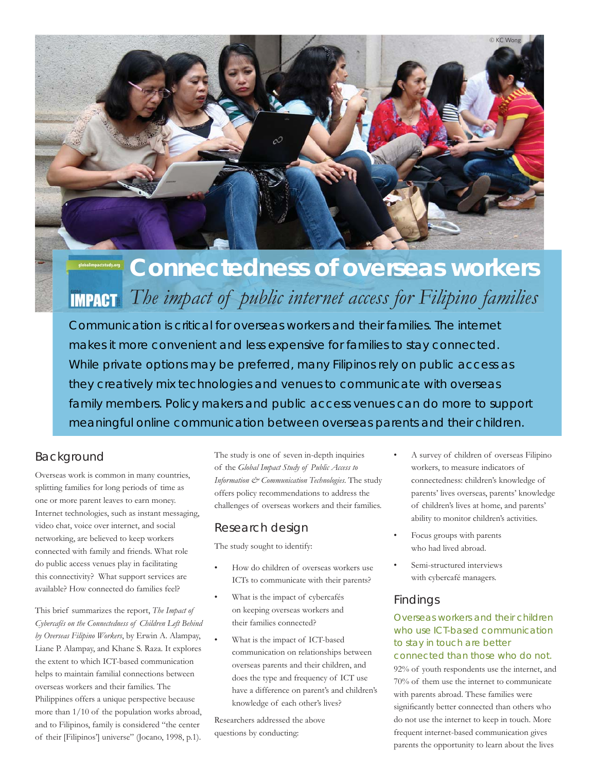

# **Connectedness of overseas workers** *The impact of public internet access for Filipino families*

Communication is critical for overseas workers and their families. The internet makes it more convenient and less expensive for families to stay connected. While private options may be preferred, many Filipinos rely on public access as they creatively mix technologies and venues to communicate with overseas family members. Policy makers and public access venues can do more to support meaningful online communication between overseas parents and their children.

# Background

Overseas work is common in many countries, splitting families for long periods of time as one or more parent leaves to earn money. Internet technologies, such as instant messaging, video chat, voice over internet, and social networking, are believed to keep workers connected with family and friends. What role do public access venues play in facilitating this connectivity? What support services are available? How connected do families feel?

This brief summarizes the report, *The Impact of Cybercafés on the Connectedness of Children Left Behind by Overseas Filipino Workers*, by Erwin A. Alampay, Liane P. Alampay, and Khane S. Raza. It explores the extent to which ICT-based communication helps to maintain familial connections between overseas workers and their families. The Philippines offers a unique perspective because more than 1/10 of the population works abroad, and to Filipinos, family is considered "the center of their [Filipinos'] universe" (Jocano, 1998, p.1).

The study is one of seven in-depth inquiries of the *Global Impact Study of Public Access to Information & Communication Technologies*. The study offers policy recommendations to address the challenges of overseas workers and their families.

# Research design

The study sought to identify:

- How do children of overseas workers use ICTs to communicate with their parents?
- What is the impact of cybercafés on keeping overseas workers and their families connected?
- What is the impact of ICT-based communication on relationships between overseas parents and their children, and does the type and frequency of ICT use have a difference on parent's and children's knowledge of each other's lives?

Researchers addressed the above questions by conducting:

- A survey of children of overseas Filipino workers, to measure indicators of connectedness: children's knowledge of parents' lives overseas, parents' knowledge of children's lives at home, and parents' ability to monitor children's activities.
- Focus groups with parents who had lived abroad.
- Semi-structured interviews with cybercafé managers.

## Findings

## Overseas workers and their children who use ICT-based communication to stay in touch are better connected than those who do not.

92% of youth respondents use the internet, and 70% of them use the internet to communicate with parents abroad. These families were significantly better connected than others who do not use the internet to keep in touch. More frequent internet-based communication gives parents the opportunity to learn about the lives